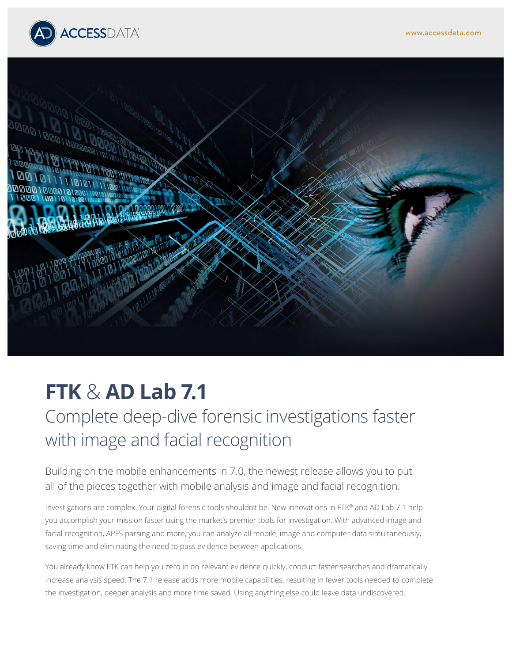



# **FTK** & **AD Lab 7.1**

Complete deep-dive forensic investigations faster with image and facial recognition

Building on the mobile enhancements in 7.0, the newest release allows you to put all of the pieces together with mobile analysis and image and facial recognition.

Investigations are complex. Your digital forensic tools shouldn't be. New innovations in FTK® and AD Lab 7.1 help you accomplish your mission faster using the market's premier tools for investigation. With advanced image and facial recognition, APFS parsing and more, you can analyze all mobile, image and computer data simultaneously, saving time and eliminating the need to pass evidence between applications.

You already know FTK can help you zero in on relevant evidence quickly, conduct faster searches and dramatically increase analysis speed. The 7.1 release adds more mobile capabilities, resulting in fewer tools needed to complete the investigation, deeper analysis and more time saved. Using anything else could leave data undiscovered.